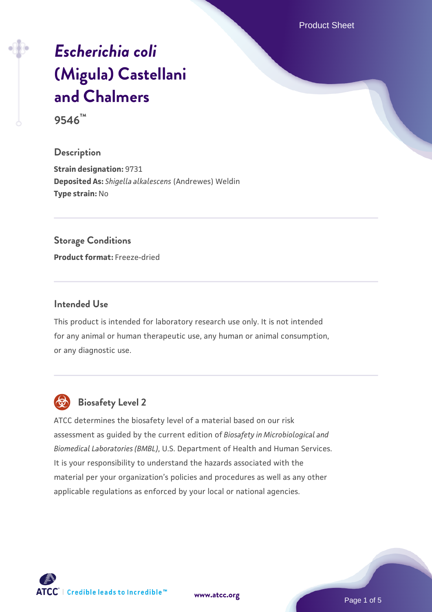Product Sheet

# *[Escherichia coli](https://www.atcc.org/products/9546)* **[\(Migula\) Castellani](https://www.atcc.org/products/9546) [and Chalmers](https://www.atcc.org/products/9546)**

**9546™**

### **Description**

**Strain designation:** 9731 **Deposited As:** *Shigella alkalescens* (Andrewes) Weldin **Type strain:** No

#### **Storage Conditions**

**Product format:** Freeze-dried

#### **Intended Use**

This product is intended for laboratory research use only. It is not intended for any animal or human therapeutic use, any human or animal consumption, or any diagnostic use.



# **Biosafety Level 2**

ATCC determines the biosafety level of a material based on our risk assessment as guided by the current edition of *Biosafety in Microbiological and Biomedical Laboratories (BMBL)*, U.S. Department of Health and Human Services. It is your responsibility to understand the hazards associated with the material per your organization's policies and procedures as well as any other applicable regulations as enforced by your local or national agencies.

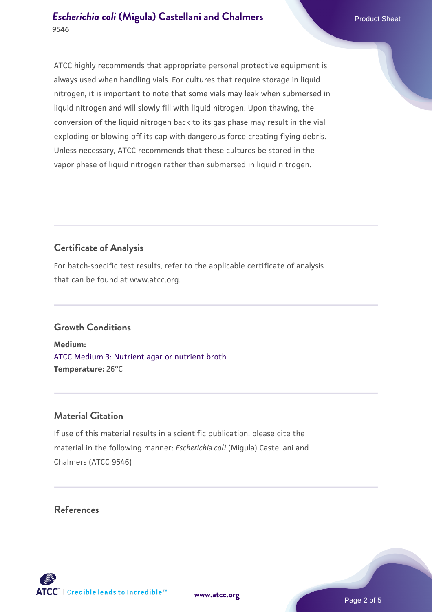ATCC highly recommends that appropriate personal protective equipment is always used when handling vials. For cultures that require storage in liquid nitrogen, it is important to note that some vials may leak when submersed in liquid nitrogen and will slowly fill with liquid nitrogen. Upon thawing, the conversion of the liquid nitrogen back to its gas phase may result in the vial exploding or blowing off its cap with dangerous force creating flying debris. Unless necessary, ATCC recommends that these cultures be stored in the vapor phase of liquid nitrogen rather than submersed in liquid nitrogen.

# **Certificate of Analysis**

For batch-specific test results, refer to the applicable certificate of analysis that can be found at www.atcc.org.

# **Growth Conditions**

**Medium:**  [ATCC Medium 3: Nutrient agar or nutrient broth](https://www.atcc.org/-/media/product-assets/documents/microbial-media-formulations/3/atcc-medium-3.pdf?rev=7510837507e64d849c62a46b5b2197a1) **Temperature:** 26°C

# **Material Citation**

If use of this material results in a scientific publication, please cite the material in the following manner: *Escherichia coli* (Migula) Castellani and Chalmers (ATCC 9546)

## **References**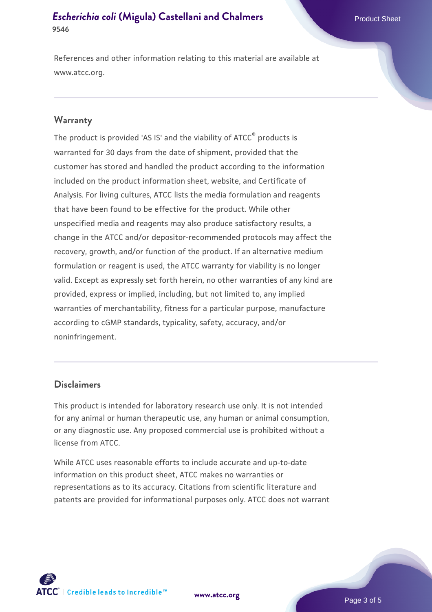References and other information relating to this material are available at www.atcc.org.

#### **Warranty**

The product is provided 'AS IS' and the viability of ATCC® products is warranted for 30 days from the date of shipment, provided that the customer has stored and handled the product according to the information included on the product information sheet, website, and Certificate of Analysis. For living cultures, ATCC lists the media formulation and reagents that have been found to be effective for the product. While other unspecified media and reagents may also produce satisfactory results, a change in the ATCC and/or depositor-recommended protocols may affect the recovery, growth, and/or function of the product. If an alternative medium formulation or reagent is used, the ATCC warranty for viability is no longer valid. Except as expressly set forth herein, no other warranties of any kind are provided, express or implied, including, but not limited to, any implied warranties of merchantability, fitness for a particular purpose, manufacture according to cGMP standards, typicality, safety, accuracy, and/or noninfringement.

#### **Disclaimers**

This product is intended for laboratory research use only. It is not intended for any animal or human therapeutic use, any human or animal consumption, or any diagnostic use. Any proposed commercial use is prohibited without a license from ATCC.

While ATCC uses reasonable efforts to include accurate and up-to-date information on this product sheet, ATCC makes no warranties or representations as to its accuracy. Citations from scientific literature and patents are provided for informational purposes only. ATCC does not warrant



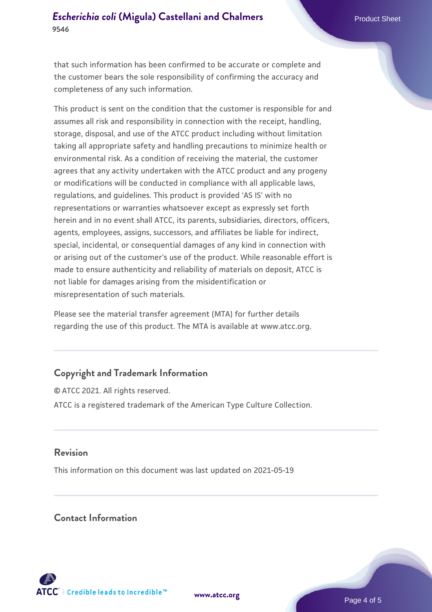that such information has been confirmed to be accurate or complete and the customer bears the sole responsibility of confirming the accuracy and completeness of any such information.

This product is sent on the condition that the customer is responsible for and assumes all risk and responsibility in connection with the receipt, handling, storage, disposal, and use of the ATCC product including without limitation taking all appropriate safety and handling precautions to minimize health or environmental risk. As a condition of receiving the material, the customer agrees that any activity undertaken with the ATCC product and any progeny or modifications will be conducted in compliance with all applicable laws, regulations, and guidelines. This product is provided 'AS IS' with no representations or warranties whatsoever except as expressly set forth herein and in no event shall ATCC, its parents, subsidiaries, directors, officers, agents, employees, assigns, successors, and affiliates be liable for indirect, special, incidental, or consequential damages of any kind in connection with or arising out of the customer's use of the product. While reasonable effort is made to ensure authenticity and reliability of materials on deposit, ATCC is not liable for damages arising from the misidentification or misrepresentation of such materials.

Please see the material transfer agreement (MTA) for further details regarding the use of this product. The MTA is available at www.atcc.org.

# **Copyright and Trademark Information**

© ATCC 2021. All rights reserved. ATCC is a registered trademark of the American Type Culture Collection.

### **Revision**

This information on this document was last updated on 2021-05-19

### **Contact Information**



**[www.atcc.org](http://www.atcc.org)**